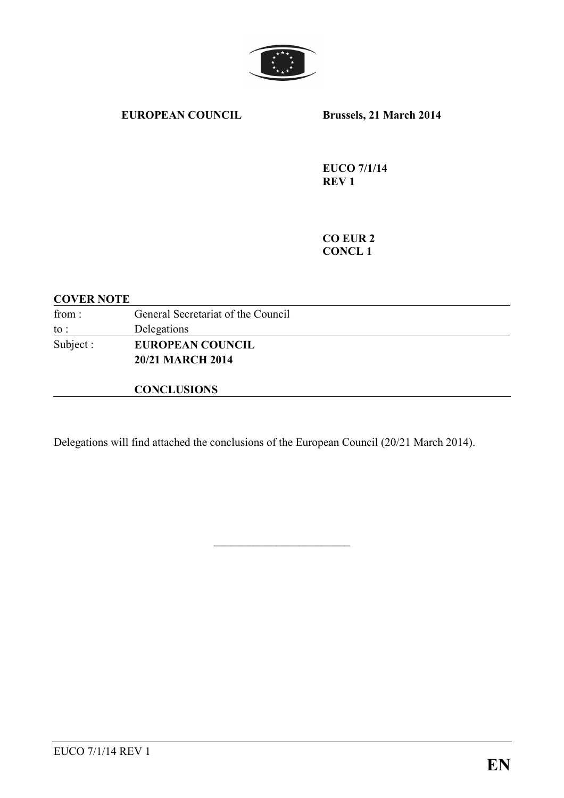

#### **EUROPEAN COUNCIL Brussels, 21 March 2014**

**EUCO 7/1/14 REV 1** 

**CO EUR 2 CONCL 1** 

#### **COVER NOTE**

| from:     | General Secretariat of the Council |
|-----------|------------------------------------|
| to :      | Delegations                        |
| Subject : | <b>EUROPEAN COUNCIL</b>            |
|           | <b>20/21 MARCH 2014</b>            |
|           |                                    |

### **CONCLUSIONS**

Delegations will find attached the conclusions of the European Council (20/21 March 2014).

\_\_\_\_\_\_\_\_\_\_\_\_\_\_\_\_\_\_\_\_\_\_\_\_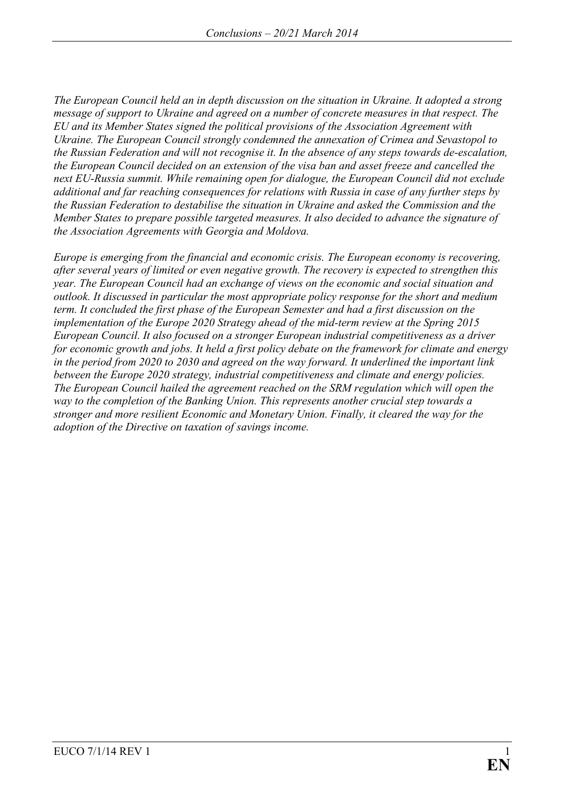*The European Council held an in depth discussion on the situation in Ukraine. It adopted a strong message of support to Ukraine and agreed on a number of concrete measures in that respect. The EU and its Member States signed the political provisions of the Association Agreement with Ukraine. The European Council strongly condemned the annexation of Crimea and Sevastopol to the Russian Federation and will not recognise it. In the absence of any steps towards de-escalation, the European Council decided on an extension of the visa ban and asset freeze and cancelled the next EU-Russia summit. While remaining open for dialogue, the European Council did not exclude additional and far reaching consequences for relations with Russia in case of any further steps by the Russian Federation to destabilise the situation in Ukraine and asked the Commission and the Member States to prepare possible targeted measures. It also decided to advance the signature of the Association Agreements with Georgia and Moldova.* 

*Europe is emerging from the financial and economic crisis. The European economy is recovering, after several years of limited or even negative growth. The recovery is expected to strengthen this year. The European Council had an exchange of views on the economic and social situation and outlook. It discussed in particular the most appropriate policy response for the short and medium term. It concluded the first phase of the European Semester and had a first discussion on the implementation of the Europe 2020 Strategy ahead of the mid-term review at the Spring 2015 European Council. It also focused on a stronger European industrial competitiveness as a driver for economic growth and jobs. It held a first policy debate on the framework for climate and energy in the period from 2020 to 2030 and agreed on the way forward. It underlined the important link between the Europe 2020 strategy, industrial competitiveness and climate and energy policies. The European Council hailed the agreement reached on the SRM regulation which will open the way to the completion of the Banking Union. This represents another crucial step towards a stronger and more resilient Economic and Monetary Union. Finally, it cleared the way for the adoption of the Directive on taxation of savings income.*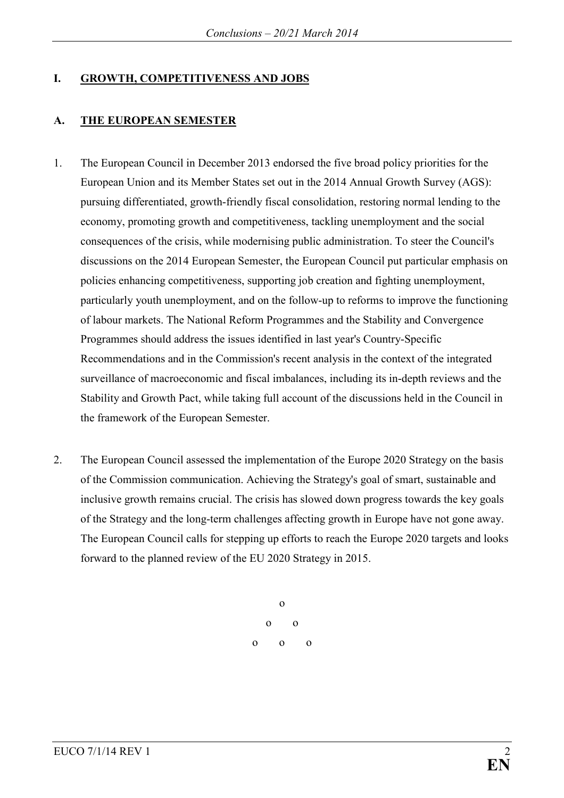### **I. GROWTH, COMPETITIVENESS AND JOBS**

## **A.** THE EUROPEAN SEMESTER

- 1. The European Council in December 2013 endorsed the five broad policy priorities for the European Union and its Member States set out in the 2014 Annual Growth Survey (AGS): pursuing differentiated, growth-friendly fiscal consolidation, restoring normal lending to the economy, promoting growth and competitiveness, tackling unemployment and the social consequences of the crisis, while modernising public administration. To steer the Council's discussions on the 2014 European Semester, the European Council put particular emphasis on policies enhancing competitiveness, supporting job creation and fighting unemployment, particularly youth unemployment, and on the follow-up to reforms to improve the functioning of labour markets. The National Reform Programmes and the Stability and Convergence Programmes should address the issues identified in last year's Country-Specific Recommendations and in the Commission's recent analysis in the context of the integrated surveillance of macroeconomic and fiscal imbalances, including its in-depth reviews and the Stability and Growth Pact, while taking full account of the discussions held in the Council in the framework of the European Semester.
- 2. The European Council assessed the implementation of the Europe 2020 Strategy on the basis of the Commission communication. Achieving the Strategy's goal of smart, sustainable and inclusive growth remains crucial. The crisis has slowed down progress towards the key goals of the Strategy and the long-term challenges affecting growth in Europe have not gone away. The European Council calls for stepping up efforts to reach the Europe 2020 targets and looks forward to the planned review of the EU 2020 Strategy in 2015.

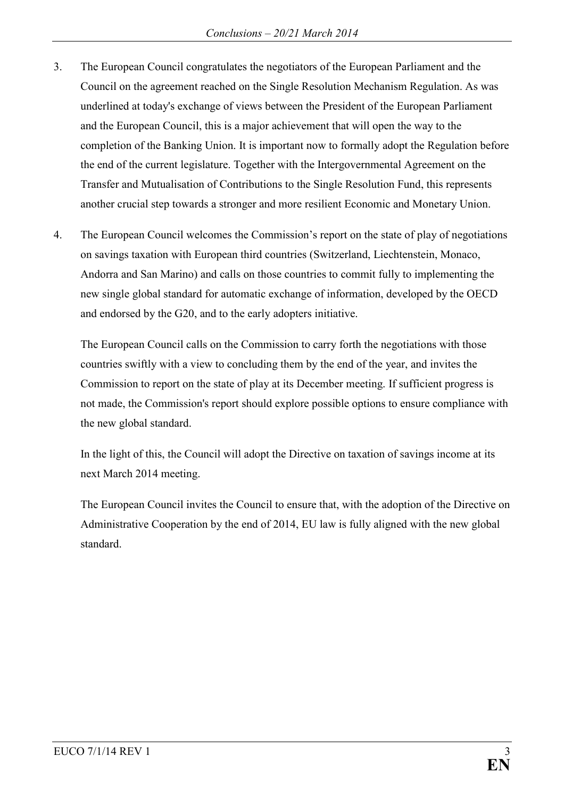- 3. The European Council congratulates the negotiators of the European Parliament and the Council on the agreement reached on the Single Resolution Mechanism Regulation. As was underlined at today's exchange of views between the President of the European Parliament and the European Council, this is a major achievement that will open the way to the completion of the Banking Union. It is important now to formally adopt the Regulation before the end of the current legislature. Together with the Intergovernmental Agreement on the Transfer and Mutualisation of Contributions to the Single Resolution Fund, this represents another crucial step towards a stronger and more resilient Economic and Monetary Union.
- 4. The European Council welcomes the Commission's report on the state of play of negotiations on savings taxation with European third countries (Switzerland, Liechtenstein, Monaco, Andorra and San Marino) and calls on those countries to commit fully to implementing the new single global standard for automatic exchange of information, developed by the OECD and endorsed by the G20, and to the early adopters initiative.

The European Council calls on the Commission to carry forth the negotiations with those countries swiftly with a view to concluding them by the end of the year, and invites the Commission to report on the state of play at its December meeting. If sufficient progress is not made, the Commission's report should explore possible options to ensure compliance with the new global standard.

In the light of this, the Council will adopt the Directive on taxation of savings income at its next March 2014 meeting.

The European Council invites the Council to ensure that, with the adoption of the Directive on Administrative Cooperation by the end of 2014, EU law is fully aligned with the new global standard.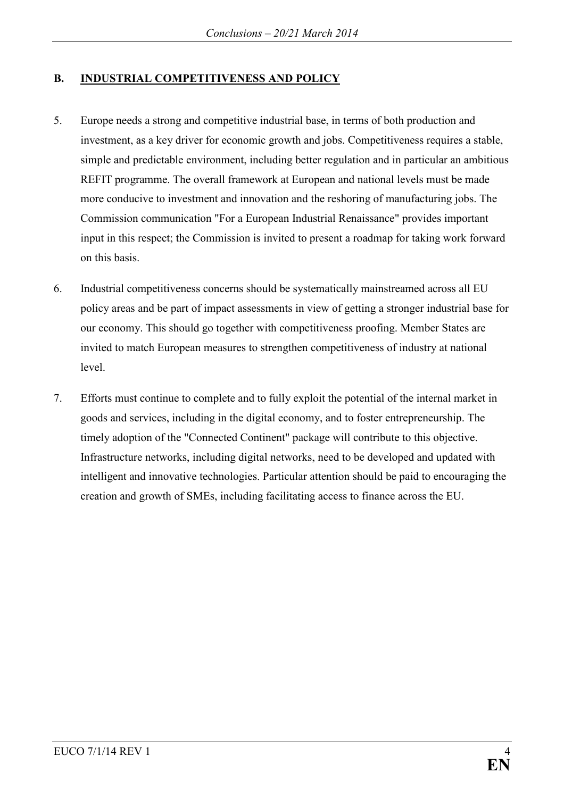### **B.** INDUSTRIAL COMPETITIVENESS AND POLICY

- 5. Europe needs a strong and competitive industrial base, in terms of both production and investment, as a key driver for economic growth and jobs. Competitiveness requires a stable, simple and predictable environment, including better regulation and in particular an ambitious REFIT programme. The overall framework at European and national levels must be made more conducive to investment and innovation and the reshoring of manufacturing jobs. The Commission communication "For a European Industrial Renaissance" provides important input in this respect; the Commission is invited to present a roadmap for taking work forward on this basis.
- 6. Industrial competitiveness concerns should be systematically mainstreamed across all EU policy areas and be part of impact assessments in view of getting a stronger industrial base for our economy. This should go together with competitiveness proofing. Member States are invited to match European measures to strengthen competitiveness of industry at national level.
- 7. Efforts must continue to complete and to fully exploit the potential of the internal market in goods and services, including in the digital economy, and to foster entrepreneurship. The timely adoption of the "Connected Continent" package will contribute to this objective. Infrastructure networks, including digital networks, need to be developed and updated with intelligent and innovative technologies. Particular attention should be paid to encouraging the creation and growth of SMEs, including facilitating access to finance across the EU.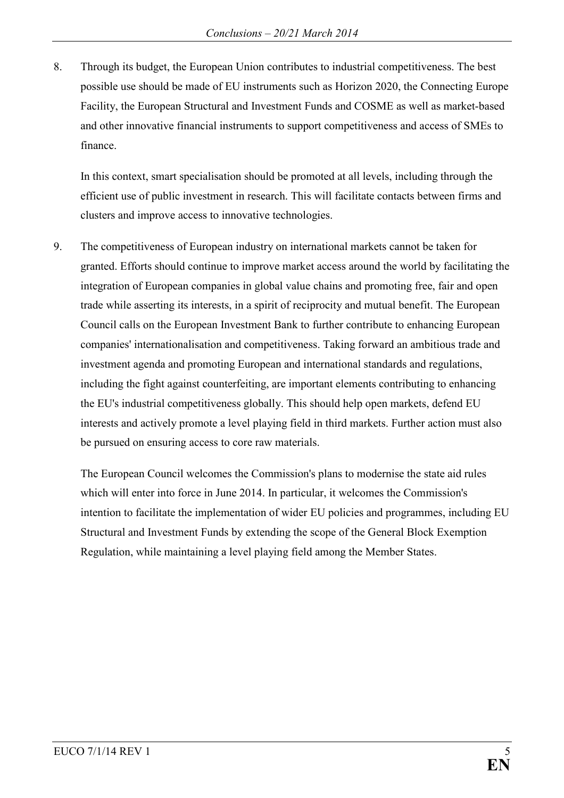8. Through its budget, the European Union contributes to industrial competitiveness. The best possible use should be made of EU instruments such as Horizon 2020, the Connecting Europe Facility, the European Structural and Investment Funds and COSME as well as market-based and other innovative financial instruments to support competitiveness and access of SMEs to finance.

In this context, smart specialisation should be promoted at all levels, including through the efficient use of public investment in research. This will facilitate contacts between firms and clusters and improve access to innovative technologies.

9. The competitiveness of European industry on international markets cannot be taken for granted. Efforts should continue to improve market access around the world by facilitating the integration of European companies in global value chains and promoting free, fair and open trade while asserting its interests, in a spirit of reciprocity and mutual benefit. The European Council calls on the European Investment Bank to further contribute to enhancing European companies' internationalisation and competitiveness. Taking forward an ambitious trade and investment agenda and promoting European and international standards and regulations, including the fight against counterfeiting, are important elements contributing to enhancing the EU's industrial competitiveness globally. This should help open markets, defend EU interests and actively promote a level playing field in third markets. Further action must also be pursued on ensuring access to core raw materials.

The European Council welcomes the Commission's plans to modernise the state aid rules which will enter into force in June 2014. In particular, it welcomes the Commission's intention to facilitate the implementation of wider EU policies and programmes, including EU Structural and Investment Funds by extending the scope of the General Block Exemption Regulation, while maintaining a level playing field among the Member States.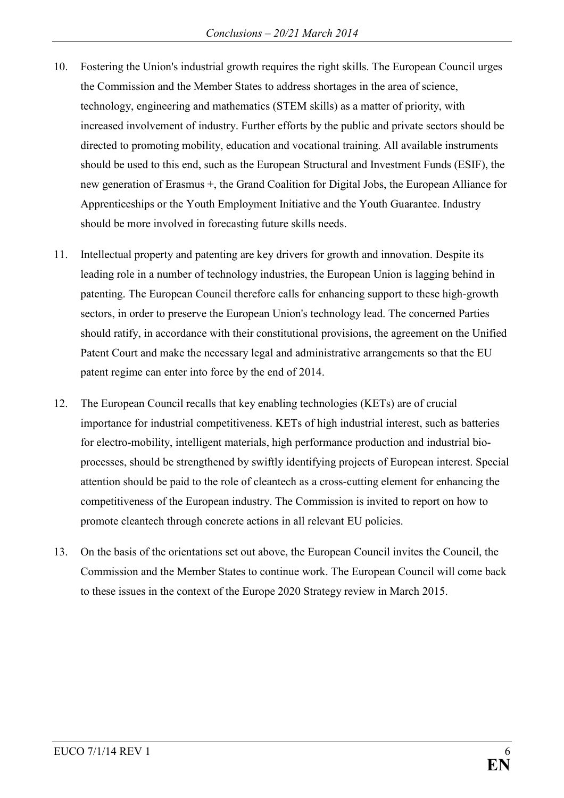- 10. Fostering the Union's industrial growth requires the right skills. The European Council urges the Commission and the Member States to address shortages in the area of science, technology, engineering and mathematics (STEM skills) as a matter of priority, with increased involvement of industry. Further efforts by the public and private sectors should be directed to promoting mobility, education and vocational training. All available instruments should be used to this end, such as the European Structural and Investment Funds (ESIF), the new generation of Erasmus +, the Grand Coalition for Digital Jobs, the European Alliance for Apprenticeships or the Youth Employment Initiative and the Youth Guarantee. Industry should be more involved in forecasting future skills needs.
- 11. Intellectual property and patenting are key drivers for growth and innovation. Despite its leading role in a number of technology industries, the European Union is lagging behind in patenting. The European Council therefore calls for enhancing support to these high-growth sectors, in order to preserve the European Union's technology lead. The concerned Parties should ratify, in accordance with their constitutional provisions, the agreement on the Unified Patent Court and make the necessary legal and administrative arrangements so that the EU patent regime can enter into force by the end of 2014.
- 12. The European Council recalls that key enabling technologies (KETs) are of crucial importance for industrial competitiveness. KETs of high industrial interest, such as batteries for electro-mobility, intelligent materials, high performance production and industrial bioprocesses, should be strengthened by swiftly identifying projects of European interest. Special attention should be paid to the role of cleantech as a cross-cutting element for enhancing the competitiveness of the European industry. The Commission is invited to report on how to promote cleantech through concrete actions in all relevant EU policies.
- 13. On the basis of the orientations set out above, the European Council invites the Council, the Commission and the Member States to continue work. The European Council will come back to these issues in the context of the Europe 2020 Strategy review in March 2015.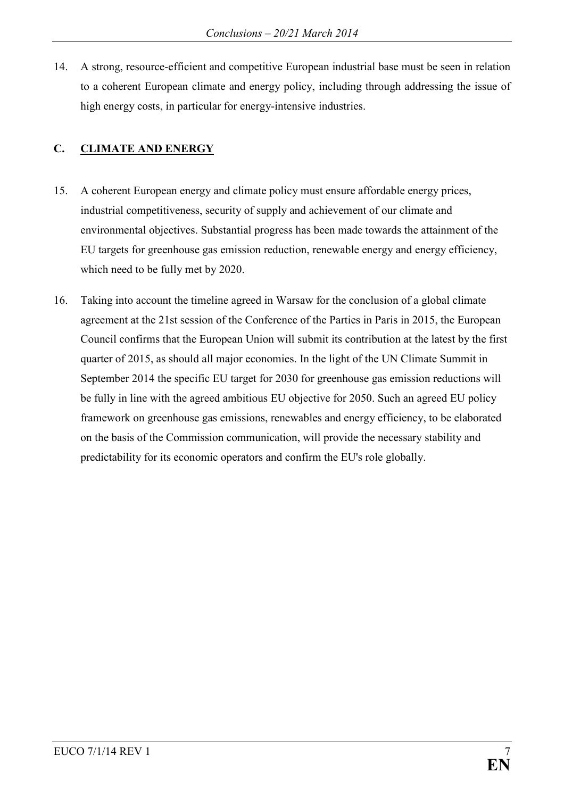14. A strong, resource-efficient and competitive European industrial base must be seen in relation to a coherent European climate and energy policy, including through addressing the issue of high energy costs, in particular for energy-intensive industries.

# **C.** CLIMATE AND ENERGY

- 15. A coherent European energy and climate policy must ensure affordable energy prices, industrial competitiveness, security of supply and achievement of our climate and environmental objectives. Substantial progress has been made towards the attainment of the EU targets for greenhouse gas emission reduction, renewable energy and energy efficiency, which need to be fully met by 2020.
- 16. Taking into account the timeline agreed in Warsaw for the conclusion of a global climate agreement at the 21st session of the Conference of the Parties in Paris in 2015, the European Council confirms that the European Union will submit its contribution at the latest by the first quarter of 2015, as should all major economies. In the light of the UN Climate Summit in September 2014 the specific EU target for 2030 for greenhouse gas emission reductions will be fully in line with the agreed ambitious EU objective for 2050. Such an agreed EU policy framework on greenhouse gas emissions, renewables and energy efficiency, to be elaborated on the basis of the Commission communication, will provide the necessary stability and predictability for its economic operators and confirm the EU's role globally.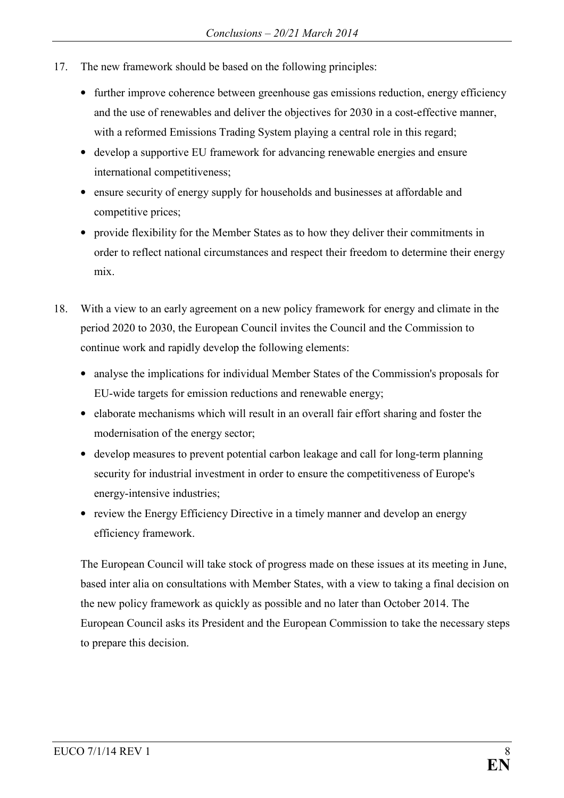- 17. The new framework should be based on the following principles:
	- further improve coherence between greenhouse gas emissions reduction, energy efficiency and the use of renewables and deliver the objectives for 2030 in a cost-effective manner, with a reformed Emissions Trading System playing a central role in this regard;
	- develop a supportive EU framework for advancing renewable energies and ensure international competitiveness;
	- ensure security of energy supply for households and businesses at affordable and competitive prices;
	- provide flexibility for the Member States as to how they deliver their commitments in order to reflect national circumstances and respect their freedom to determine their energy mix.
- 18. With a view to an early agreement on a new policy framework for energy and climate in the period 2020 to 2030, the European Council invites the Council and the Commission to continue work and rapidly develop the following elements:
	- analyse the implications for individual Member States of the Commission's proposals for EU-wide targets for emission reductions and renewable energy;
	- elaborate mechanisms which will result in an overall fair effort sharing and foster the modernisation of the energy sector;
	- develop measures to prevent potential carbon leakage and call for long-term planning security for industrial investment in order to ensure the competitiveness of Europe's energy-intensive industries;
	- review the Energy Efficiency Directive in a timely manner and develop an energy efficiency framework.

The European Council will take stock of progress made on these issues at its meeting in June, based inter alia on consultations with Member States, with a view to taking a final decision on the new policy framework as quickly as possible and no later than October 2014. The European Council asks its President and the European Commission to take the necessary steps to prepare this decision.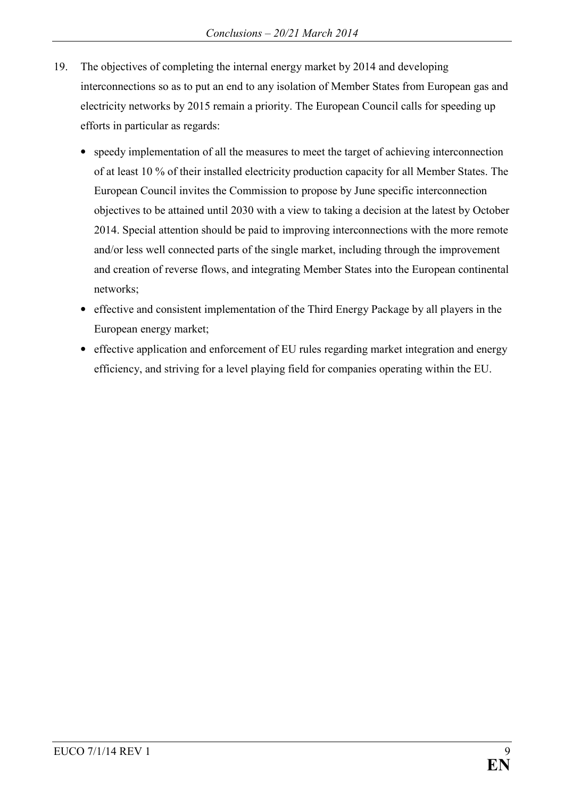- 19. The objectives of completing the internal energy market by 2014 and developing interconnections so as to put an end to any isolation of Member States from European gas and electricity networks by 2015 remain a priority. The European Council calls for speeding up efforts in particular as regards:
	- speedy implementation of all the measures to meet the target of achieving interconnection of at least 10 % of their installed electricity production capacity for all Member States. The European Council invites the Commission to propose by June specific interconnection objectives to be attained until 2030 with a view to taking a decision at the latest by October 2014. Special attention should be paid to improving interconnections with the more remote and/or less well connected parts of the single market, including through the improvement and creation of reverse flows, and integrating Member States into the European continental networks;
	- effective and consistent implementation of the Third Energy Package by all players in the European energy market;
	- effective application and enforcement of EU rules regarding market integration and energy efficiency, and striving for a level playing field for companies operating within the EU.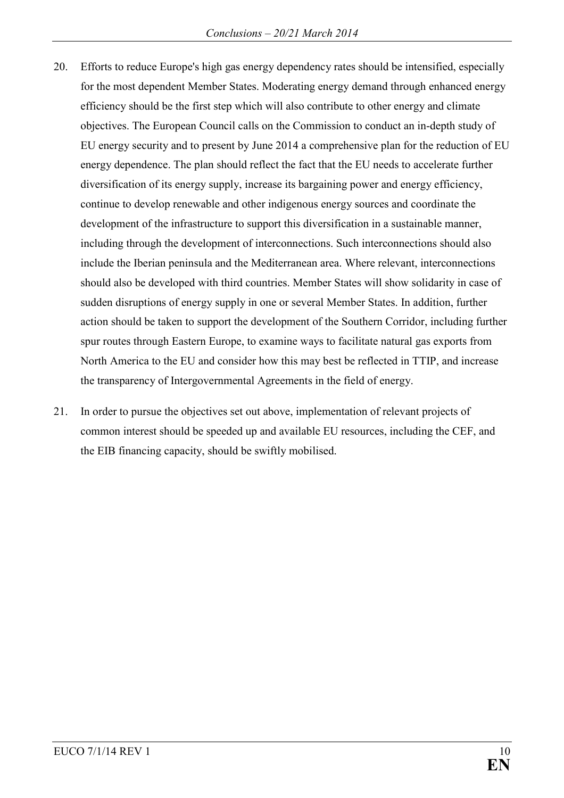- 20. Efforts to reduce Europe's high gas energy dependency rates should be intensified, especially for the most dependent Member States. Moderating energy demand through enhanced energy efficiency should be the first step which will also contribute to other energy and climate objectives. The European Council calls on the Commission to conduct an in-depth study of EU energy security and to present by June 2014 a comprehensive plan for the reduction of EU energy dependence. The plan should reflect the fact that the EU needs to accelerate further diversification of its energy supply, increase its bargaining power and energy efficiency, continue to develop renewable and other indigenous energy sources and coordinate the development of the infrastructure to support this diversification in a sustainable manner, including through the development of interconnections. Such interconnections should also include the Iberian peninsula and the Mediterranean area. Where relevant, interconnections should also be developed with third countries. Member States will show solidarity in case of sudden disruptions of energy supply in one or several Member States. In addition, further action should be taken to support the development of the Southern Corridor, including further spur routes through Eastern Europe, to examine ways to facilitate natural gas exports from North America to the EU and consider how this may best be reflected in TTIP, and increase the transparency of Intergovernmental Agreements in the field of energy.
- 21. In order to pursue the objectives set out above, implementation of relevant projects of common interest should be speeded up and available EU resources, including the CEF, and the EIB financing capacity, should be swiftly mobilised.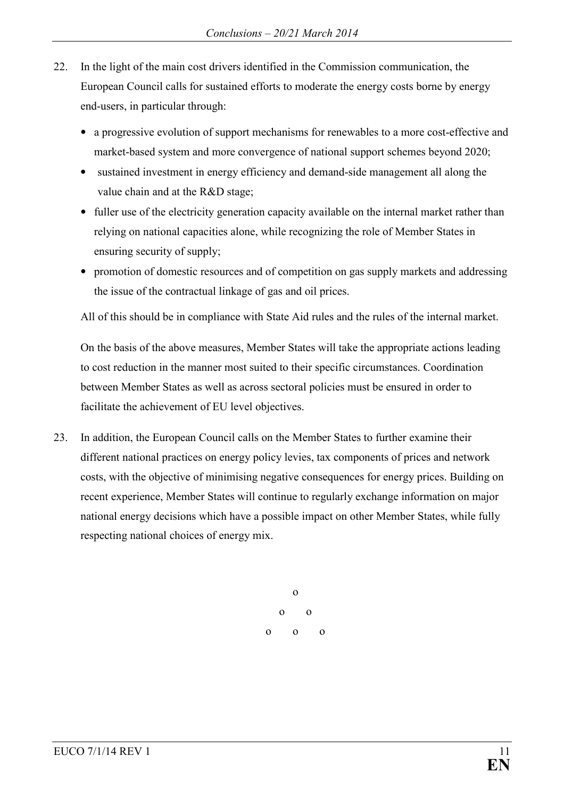- 22. In the light of the main cost drivers identified in the Commission communication, the European Council calls for sustained efforts to moderate the energy costs borne by energy end-users, in particular through:
	- a progressive evolution of support mechanisms for renewables to a more cost-effective and market-based system and more convergence of national support schemes beyond 2020;
	- sustained investment in energy efficiency and demand-side management all along the value chain and at the R&D stage;
	- fuller use of the electricity generation capacity available on the internal market rather than relying on national capacities alone, while recognizing the role of Member States in ensuring security of supply;
	- promotion of domestic resources and of competition on gas supply markets and addressing the issue of the contractual linkage of gas and oil prices.

All of this should be in compliance with State Aid rules and the rules of the internal market.

On the basis of the above measures, Member States will take the appropriate actions leading to cost reduction in the manner most suited to their specific circumstances. Coordination between Member States as well as across sectoral policies must be ensured in order to facilitate the achievement of EU level objectives.

23. In addition, the European Council calls on the Member States to further examine their different national practices on energy policy levies, tax components of prices and network costs, with the objective of minimising negative consequences for energy prices. Building on recent experience, Member States will continue to regularly exchange information on major national energy decisions which have a possible impact on other Member States, while fully respecting national choices of energy mix.

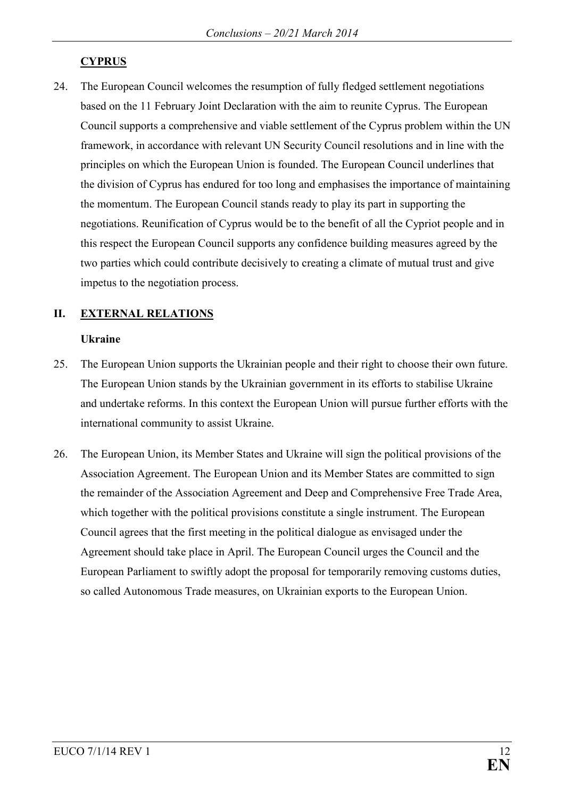## **CYPRUS**

24. The European Council welcomes the resumption of fully fledged settlement negotiations based on the 11 February Joint Declaration with the aim to reunite Cyprus. The European Council supports a comprehensive and viable settlement of the Cyprus problem within the UN framework, in accordance with relevant UN Security Council resolutions and in line with the principles on which the European Union is founded. The European Council underlines that the division of Cyprus has endured for too long and emphasises the importance of maintaining the momentum. The European Council stands ready to play its part in supporting the negotiations. Reunification of Cyprus would be to the benefit of all the Cypriot people and in this respect the European Council supports any confidence building measures agreed by the two parties which could contribute decisively to creating a climate of mutual trust and give impetus to the negotiation process.

# **II. EXTERAL RELATIOS**

### **Ukraine**

- 25. The European Union supports the Ukrainian people and their right to choose their own future. The European Union stands by the Ukrainian government in its efforts to stabilise Ukraine and undertake reforms. In this context the European Union will pursue further efforts with the international community to assist Ukraine.
- 26. The European Union, its Member States and Ukraine will sign the political provisions of the Association Agreement. The European Union and its Member States are committed to sign the remainder of the Association Agreement and Deep and Comprehensive Free Trade Area, which together with the political provisions constitute a single instrument. The European Council agrees that the first meeting in the political dialogue as envisaged under the Agreement should take place in April. The European Council urges the Council and the European Parliament to swiftly adopt the proposal for temporarily removing customs duties, so called Autonomous Trade measures, on Ukrainian exports to the European Union.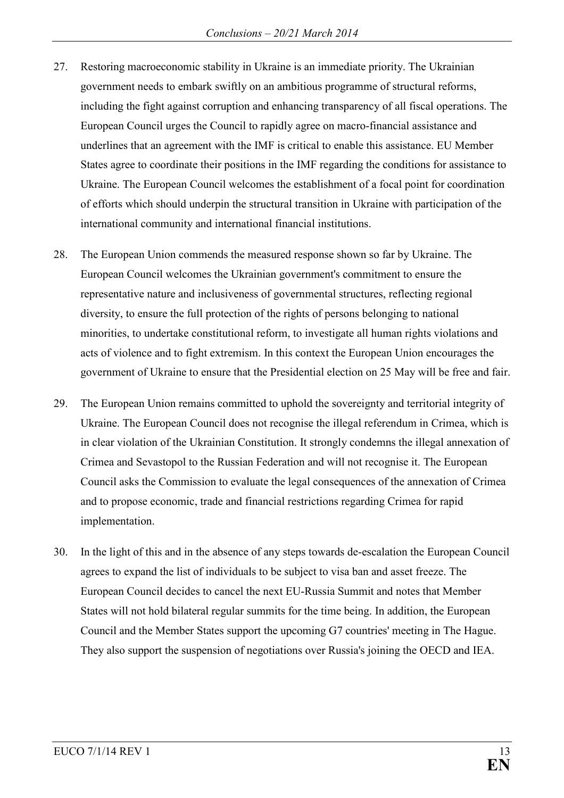- 27. Restoring macroeconomic stability in Ukraine is an immediate priority. The Ukrainian government needs to embark swiftly on an ambitious programme of structural reforms, including the fight against corruption and enhancing transparency of all fiscal operations. The European Council urges the Council to rapidly agree on macro-financial assistance and underlines that an agreement with the IMF is critical to enable this assistance. EU Member States agree to coordinate their positions in the IMF regarding the conditions for assistance to Ukraine. The European Council welcomes the establishment of a focal point for coordination of efforts which should underpin the structural transition in Ukraine with participation of the international community and international financial institutions.
- 28. The European Union commends the measured response shown so far by Ukraine. The European Council welcomes the Ukrainian government's commitment to ensure the representative nature and inclusiveness of governmental structures, reflecting regional diversity, to ensure the full protection of the rights of persons belonging to national minorities, to undertake constitutional reform, to investigate all human rights violations and acts of violence and to fight extremism. In this context the European Union encourages the government of Ukraine to ensure that the Presidential election on 25 May will be free and fair.
- 29. The European Union remains committed to uphold the sovereignty and territorial integrity of Ukraine. The European Council does not recognise the illegal referendum in Crimea, which is in clear violation of the Ukrainian Constitution. It strongly condemns the illegal annexation of Crimea and Sevastopol to the Russian Federation and will not recognise it. The European Council asks the Commission to evaluate the legal consequences of the annexation of Crimea and to propose economic, trade and financial restrictions regarding Crimea for rapid implementation.
- 30. In the light of this and in the absence of any steps towards de-escalation the European Council agrees to expand the list of individuals to be subject to visa ban and asset freeze. The European Council decides to cancel the next EU-Russia Summit and notes that Member States will not hold bilateral regular summits for the time being. In addition, the European Council and the Member States support the upcoming G7 countries' meeting in The Hague. They also support the suspension of negotiations over Russia's joining the OECD and IEA.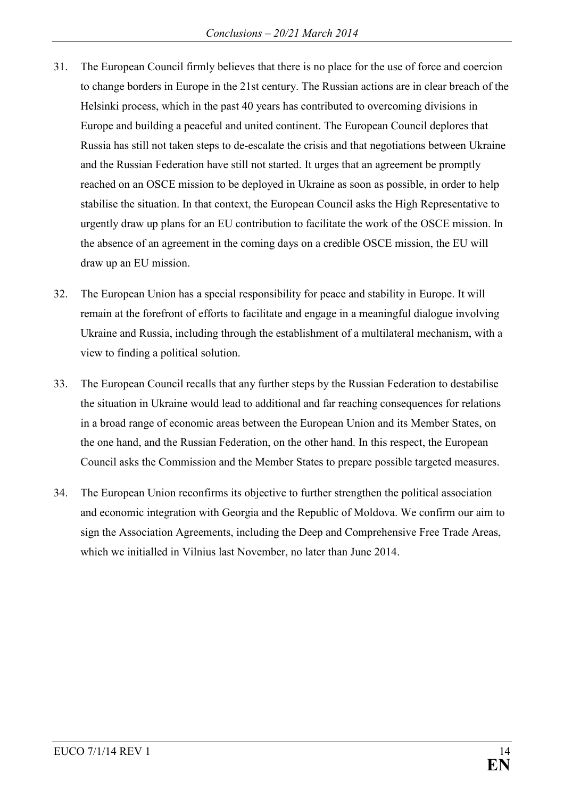- 31. The European Council firmly believes that there is no place for the use of force and coercion to change borders in Europe in the 21st century. The Russian actions are in clear breach of the Helsinki process, which in the past 40 years has contributed to overcoming divisions in Europe and building a peaceful and united continent. The European Council deplores that Russia has still not taken steps to de-escalate the crisis and that negotiations between Ukraine and the Russian Federation have still not started. It urges that an agreement be promptly reached on an OSCE mission to be deployed in Ukraine as soon as possible, in order to help stabilise the situation. In that context, the European Council asks the High Representative to urgently draw up plans for an EU contribution to facilitate the work of the OSCE mission. In the absence of an agreement in the coming days on a credible OSCE mission, the EU will draw up an EU mission.
- 32. The European Union has a special responsibility for peace and stability in Europe. It will remain at the forefront of efforts to facilitate and engage in a meaningful dialogue involving Ukraine and Russia, including through the establishment of a multilateral mechanism, with a view to finding a political solution.
- 33. The European Council recalls that any further steps by the Russian Federation to destabilise the situation in Ukraine would lead to additional and far reaching consequences for relations in a broad range of economic areas between the European Union and its Member States, on the one hand, and the Russian Federation, on the other hand. In this respect, the European Council asks the Commission and the Member States to prepare possible targeted measures.
- 34. The European Union reconfirms its objective to further strengthen the political association and economic integration with Georgia and the Republic of Moldova. We confirm our aim to sign the Association Agreements, including the Deep and Comprehensive Free Trade Areas, which we initialled in Vilnius last November, no later than June 2014.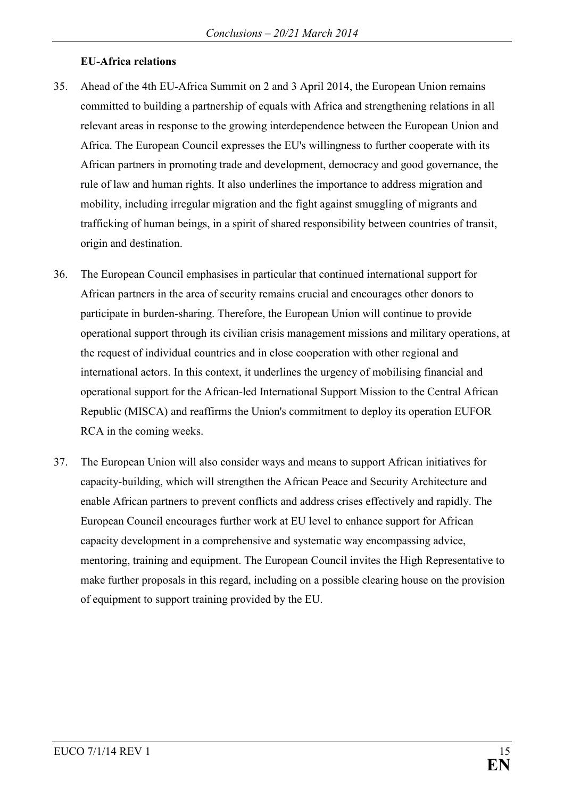### **EU-Africa relations**

- 35. Ahead of the 4th EU-Africa Summit on 2 and 3 April 2014, the European Union remains committed to building a partnership of equals with Africa and strengthening relations in all relevant areas in response to the growing interdependence between the European Union and Africa. The European Council expresses the EU's willingness to further cooperate with its African partners in promoting trade and development, democracy and good governance, the rule of law and human rights. It also underlines the importance to address migration and mobility, including irregular migration and the fight against smuggling of migrants and trafficking of human beings, in a spirit of shared responsibility between countries of transit, origin and destination.
- 36. The European Council emphasises in particular that continued international support for African partners in the area of security remains crucial and encourages other donors to participate in burden-sharing. Therefore, the European Union will continue to provide operational support through its civilian crisis management missions and military operations, at the request of individual countries and in close cooperation with other regional and international actors. In this context, it underlines the urgency of mobilising financial and operational support for the African-led International Support Mission to the Central African Republic (MISCA) and reaffirms the Union's commitment to deploy its operation EUFOR RCA in the coming weeks.
- 37. The European Union will also consider ways and means to support African initiatives for capacity-building, which will strengthen the African Peace and Security Architecture and enable African partners to prevent conflicts and address crises effectively and rapidly. The European Council encourages further work at EU level to enhance support for African capacity development in a comprehensive and systematic way encompassing advice, mentoring, training and equipment. The European Council invites the High Representative to make further proposals in this regard, including on a possible clearing house on the provision of equipment to support training provided by the EU.